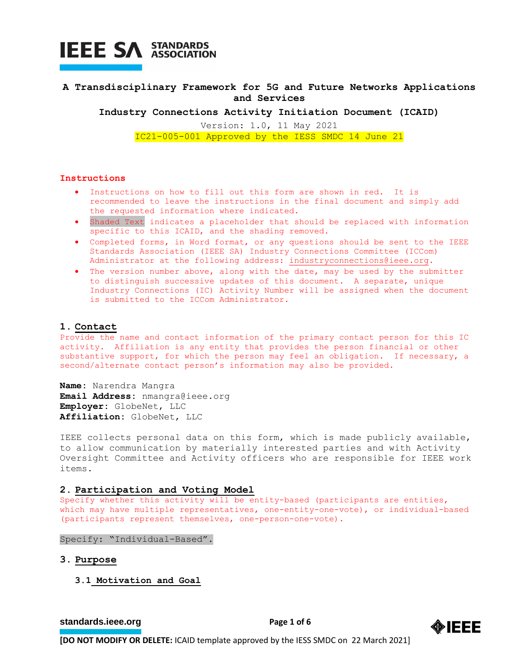

## **A Transdisciplinary Framework for 5G and Future Networks Applications and Services**

**Industry Connections Activity Initiation Document (ICAID)**

Version: 1.0, 11 May 2021 IC21-005-001 Approved by the IESS SMDC 14 June 21

#### **Instructions**

- Instructions on how to fill out this form are shown in red. It is recommended to leave the instructions in the final document and simply add the requested information where indicated.
- Shaded Text indicates a placeholder that should be replaced with information specific to this ICAID, and the shading removed.
- Completed forms, in Word format, or any questions should be sent to the IEEE Standards Association (IEEE SA) Industry Connections Committee (ICCom) Administrator at the following address: [industryconnections@ieee.org.](mailto:industryconnections@ieee.org)
- The version number above, along with the date, may be used by the submitter to distinguish successive updates of this document. A separate, unique Industry Connections (IC) Activity Number will be assigned when the document is submitted to the ICCom Administrator.

#### **1. Contact**

Provide the name and contact information of the primary contact person for this IC activity. Affiliation is any entity that provides the person financial or other substantive support, for which the person may feel an obligation. If necessary, a second/alternate contact person's information may also be provided.

**Name:** Narendra Mangra **Email Address:** nmangra@ieee.org **Employer:** GlobeNet, LLC **Affiliation:** GlobeNet, LLC

IEEE collects personal data on this form, which is made publicly available, to allow communication by materially interested parties and with Activity Oversight Committee and Activity officers who are responsible for IEEE work items.

#### **2. Participation and Voting Model**

Specify whether this activity will be entity-based (participants are entities, which may have multiple representatives, one-entity-one-vote), or individual-based (participants represent themselves, one-person-one-vote).

Specify: "Individual-Based".

- **3. Purpose**
	- **3.1 Motivation and Goal**

**[standards.ieee.org](http://standards.ieee.org/) EXECUTE: Page 1 of 6** 

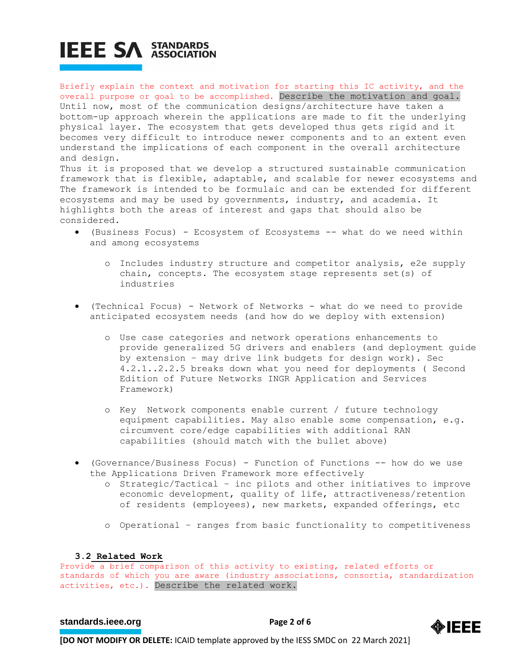# **IEEE SA STANDARDS**

Briefly explain the context and motivation for starting this IC activity, and the overall purpose or goal to be accomplished. Describe the motivation and goal. Until now, most of the communication designs/architecture have taken a bottom-up approach wherein the applications are made to fit the underlying physical layer. The ecosystem that gets developed thus gets rigid and it becomes very difficult to introduce newer components and to an extent even understand the implications of each component in the overall architecture and design.

Thus it is proposed that we develop a structured sustainable communication framework that is flexible, adaptable, and scalable for newer ecosystems and The framework is intended to be formulaic and can be extended for different ecosystems and may be used by governments, industry, and academia. It highlights both the areas of interest and gaps that should also be considered.

- (Business Focus) Ecosystem of Ecosystems -- what do we need within and among ecosystems
	- o Includes industry structure and competitor analysis, e2e supply chain, concepts. The ecosystem stage represents set(s) of industries
- (Technical Focus) Network of Networks what do we need to provide anticipated ecosystem needs (and how do we deploy with extension)
	- o Use case categories and network operations enhancements to provide generalized 5G drivers and enablers (and deployment guide by extension – may drive link budgets for design work). Sec 4.2.1..2.2.5 breaks down what you need for deployments ( Second Edition of Future Networks INGR Application and Services Framework)
	- o Key Network components enable current / future technology equipment capabilities. May also enable some compensation, e.g. circumvent core/edge capabilities with additional RAN capabilities (should match with the bullet above)
- (Governance/Business Focus) Function of Functions -- how do we use the Applications Driven Framework more effectively
	- o Strategic/Tactical inc pilots and other initiatives to improve economic development, quality of life, attractiveness/retention of residents (employees), new markets, expanded offerings, etc
	- o Operational ranges from basic functionality to competitiveness

## **3.2 Related Work**

Provide a brief comparison of this activity to existing, related efforts or standards of which you are aware (industry associations, consortia, standardization activities, etc.). Describe the related work.

## **[standards.ieee.org](http://standards.ieee.org/)**<br> **Page 2 of 6**

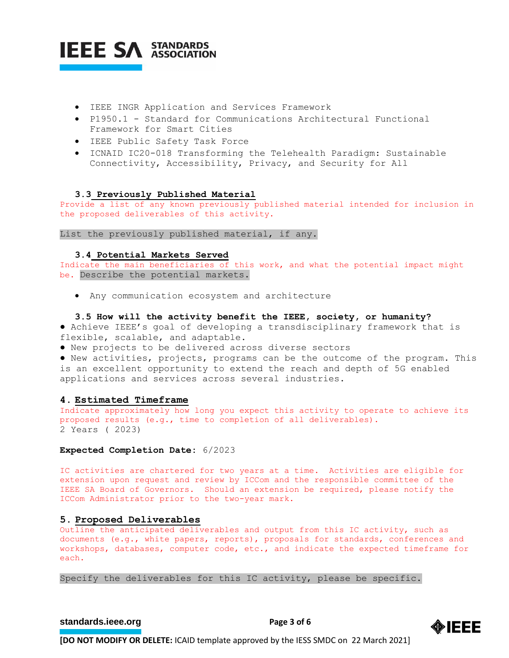

- IEEE INGR Application and Services Framework
- P1950.1 Standard for Communications Architectural Functional Framework for Smart Cities
- IEEE Public Safety Task Force
- ICNAID IC20-018 Transforming the Telehealth Paradigm: Sustainable Connectivity, Accessibility, Privacy, and Security for All

#### **3.3 Previously Published Material**

Provide a list of any known previously published material intended for inclusion in the proposed deliverables of this activity.

List the previously published material, if any.

#### **3.4 Potential Markets Served**

Indicate the main beneficiaries of this work, and what the potential impact might be. Describe the potential markets.

• Any communication ecosystem and architecture

#### **3.5 How will the activity benefit the IEEE, society, or humanity?**

● Achieve IEEE's goal of developing a transdisciplinary framework that is flexible, scalable, and adaptable.

● New projects to be delivered across diverse sectors

● New activities, projects, programs can be the outcome of the program. This is an excellent opportunity to extend the reach and depth of 5G enabled applications and services across several industries.

#### **4. Estimated Timeframe**

Indicate approximately how long you expect this activity to operate to achieve its proposed results (e.g., time to completion of all deliverables). 2 Years ( 2023)

#### **Expected Completion Date:** 6/2023

IC activities are chartered for two years at a time. Activities are eligible for extension upon request and review by ICCom and the responsible committee of the IEEE SA Board of Governors. Should an extension be required, please notify the ICCom Administrator prior to the two-year mark.

#### **5. Proposed Deliverables**

Outline the anticipated deliverables and output from this IC activity, such as documents (e.g., white papers, reports), proposals for standards, conferences and workshops, databases, computer code, etc., and indicate the expected timeframe for each.

Specify the deliverables for this IC activity, please be specific.

## **[standards.ieee.org](http://standards.ieee.org/)**<br> **Page 3 of 6**

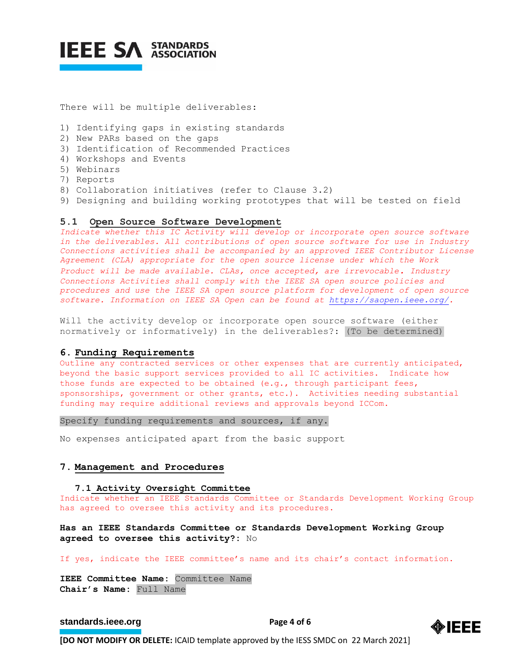

There will be multiple deliverables:

- 1) Identifying gaps in existing standards
- 2) New PARs based on the gaps
- 3) Identification of Recommended Practices
- 4) Workshops and Events
- 5) Webinars
- 7) Reports
- 8) Collaboration initiatives (refer to Clause 3.2)
- 9) Designing and building working prototypes that will be tested on field

#### **5.1 Open Source Software Development**

*Indicate whether this IC Activity will develop or incorporate open source software in the deliverables. All contributions of open source software for use in Industry Connections activities shall be accompanied by an approved IEEE Contributor License Agreement (CLA) appropriate for the open source license under which the Work Product will be made available. CLAs, once accepted, are irrevocable. Industry Connections Activities shall comply with the IEEE SA open source policies and procedures and use the IEEE SA open source platform for development of open source software. Information on IEEE SA Open can be found at [https://saopen.ieee.org/.](https://saopen.ieee.org/)* 

Will the activity develop or incorporate open source software (either normatively or informatively) in the deliverables?: (To be determined)

#### **6. Funding Requirements**

Outline any contracted services or other expenses that are currently anticipated, beyond the basic support services provided to all IC activities. Indicate how those funds are expected to be obtained (e.g., through participant fees, sponsorships, government or other grants, etc.). Activities needing substantial funding may require additional reviews and approvals beyond ICCom.

Specify funding requirements and sources, if any.

No expenses anticipated apart from the basic support

#### **7. Management and Procedures**

#### **7.1 Activity Oversight Committee**

Indicate whether an IEEE Standards Committee or Standards Development Working Group has agreed to oversee this activity and its procedures.

**Has an IEEE Standards Committee or Standards Development Working Group agreed to oversee this activity?:** No

If yes, indicate the IEEE committee's name and its chair's contact information.

**IEEE Committee Name:** Committee Name **Chair's Name:** Full Name

#### **[standards.ieee.org](http://standards.ieee.org/) EXECUTE: Page 4 of 6**

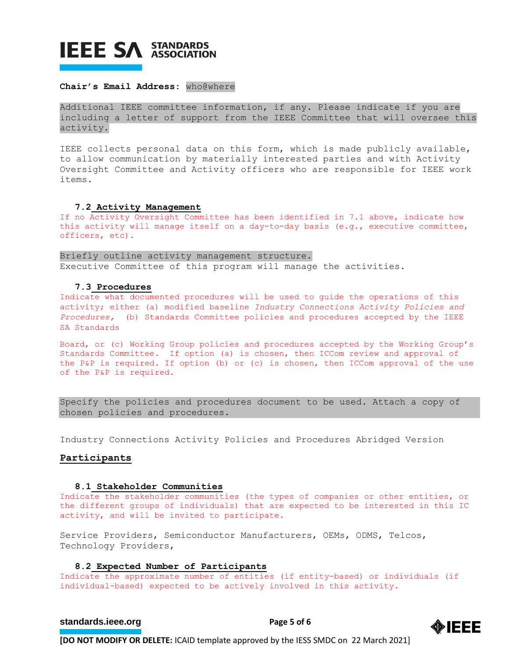## **IEEE SA STANDARDS**

#### **Chair's Email Address:** who@where

Additional IEEE committee information, if any. Please indicate if you are including a letter of support from the IEEE Committee that will oversee this activity.

IEEE collects personal data on this form, which is made publicly available, to allow communication by materially interested parties and with Activity Oversight Committee and Activity officers who are responsible for IEEE work items.

#### **7.2 Activity Management**

If no Activity Oversight Committee has been identified in 7.1 above, indicate how this activity will manage itself on a day-to-day basis (e.g., executive committee, officers, etc).

Briefly outline activity management structure. Executive Committee of this program will manage the activities.

#### **7.3 Procedures**

Indicate what documented procedures will be used to guide the operations of this activity; either (a) modified baseline *Industry Connections Activity Policies and Procedures,* (b) Standards Committee policies and procedures accepted by the IEEE SA Standards

Board, or (c) Working Group policies and procedures accepted by the Working Group's Standards Committee. If option (a) is chosen, then ICCom review and approval of the P&P is required. If option (b) or (c) is chosen, then ICCom approval of the use of the P&P is required.

Specify the policies and procedures document to be used. Attach a copy of chosen policies and procedures.

Industry Connections Activity Policies and Procedures Abridged Version

#### **Participants**

#### **8.1 Stakeholder Communities**

Indicate the stakeholder communities (the types of companies or other entities, or the different groups of individuals) that are expected to be interested in this IC activity, and will be invited to participate.

Service Providers, Semiconductor Manufacturers, OEMs, ODMS, Telcos, Technology Providers,

#### **8.2 Expected Number of Participants**

Indicate the approximate number of entities (if entity-based) or individuals (if individual-based) expected to be actively involved in this activity.

#### **[standards.ieee.org](http://standards.ieee.org/) EXECUTE: Page 5 of 6**